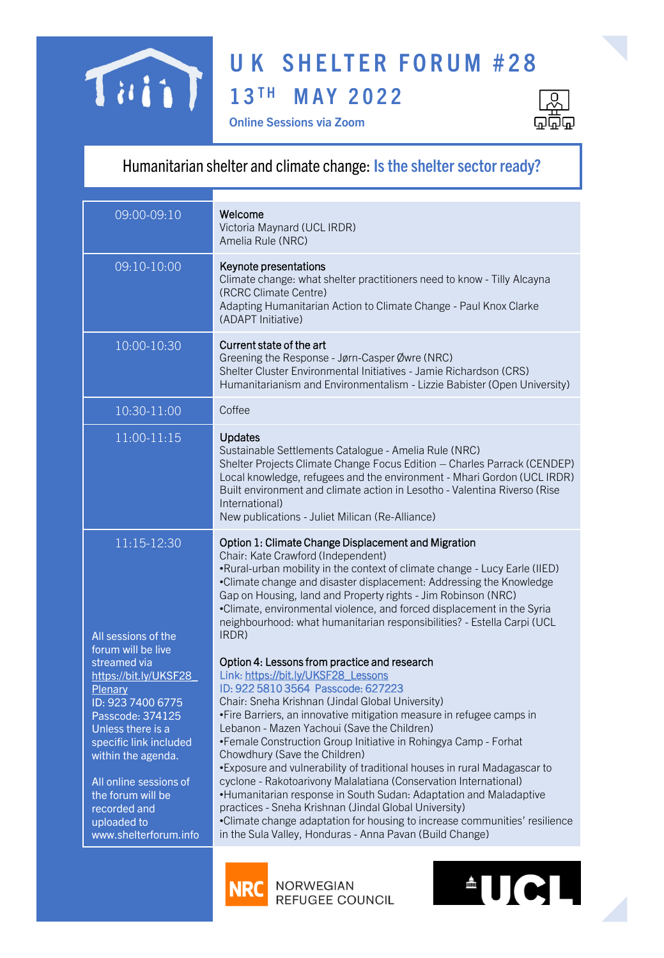## **UK SHELTER FORUM #28** TainT **1 3 T H M A Y 2 0 2 2**





## Humanitarian shelter and climate change: **Is the shelter sector ready?**

| 09:00-09:10                                                                                                                                                                                                                                                                                                               | Welcome<br>Victoria Maynard (UCL IRDR)<br>Amelia Rule (NRC)                                                                                                                                                                                                                                                                                                                                                                                                                                                                                                                                                                                                                                                                                                                                                                                                                                                                                                                                                                                                                                                                                                                                                                                                |
|---------------------------------------------------------------------------------------------------------------------------------------------------------------------------------------------------------------------------------------------------------------------------------------------------------------------------|------------------------------------------------------------------------------------------------------------------------------------------------------------------------------------------------------------------------------------------------------------------------------------------------------------------------------------------------------------------------------------------------------------------------------------------------------------------------------------------------------------------------------------------------------------------------------------------------------------------------------------------------------------------------------------------------------------------------------------------------------------------------------------------------------------------------------------------------------------------------------------------------------------------------------------------------------------------------------------------------------------------------------------------------------------------------------------------------------------------------------------------------------------------------------------------------------------------------------------------------------------|
| 09:10-10:00                                                                                                                                                                                                                                                                                                               | Keynote presentations<br>Climate change: what shelter practitioners need to know - Tilly Alcayna<br>(RCRC Climate Centre)<br>Adapting Humanitarian Action to Climate Change - Paul Knox Clarke<br>(ADAPT Initiative)                                                                                                                                                                                                                                                                                                                                                                                                                                                                                                                                                                                                                                                                                                                                                                                                                                                                                                                                                                                                                                       |
| 10:00-10:30                                                                                                                                                                                                                                                                                                               | Current state of the art<br>Greening the Response - Jørn-Casper Øwre (NRC)<br>Shelter Cluster Environmental Initiatives - Jamie Richardson (CRS)<br>Humanitarianism and Environmentalism - Lizzie Babister (Open University)                                                                                                                                                                                                                                                                                                                                                                                                                                                                                                                                                                                                                                                                                                                                                                                                                                                                                                                                                                                                                               |
| 10:30-11:00                                                                                                                                                                                                                                                                                                               | Coffee                                                                                                                                                                                                                                                                                                                                                                                                                                                                                                                                                                                                                                                                                                                                                                                                                                                                                                                                                                                                                                                                                                                                                                                                                                                     |
| 11:00-11:15                                                                                                                                                                                                                                                                                                               | <b>Updates</b><br>Sustainable Settlements Catalogue - Amelia Rule (NRC)<br>Shelter Projects Climate Change Focus Edition - Charles Parrack (CENDEP)<br>Local knowledge, refugees and the environment - Mhari Gordon (UCL IRDR)<br>Built environment and climate action in Lesotho - Valentina Riverso (Rise<br>International)<br>New publications - Juliet Milican (Re-Alliance)                                                                                                                                                                                                                                                                                                                                                                                                                                                                                                                                                                                                                                                                                                                                                                                                                                                                           |
| 11:15-12:30                                                                                                                                                                                                                                                                                                               | Option 1: Climate Change Displacement and Migration                                                                                                                                                                                                                                                                                                                                                                                                                                                                                                                                                                                                                                                                                                                                                                                                                                                                                                                                                                                                                                                                                                                                                                                                        |
| All sessions of the<br>forum will be live<br>streamed via<br>https://bit.ly/UKSF28<br><b>Plenary</b><br>ID: 923 7400 6775<br>Passcode: 374125<br>Unless there is a<br>specific link included<br>within the agenda.<br>All online sessions of<br>the forum will be<br>recorded and<br>uploaded to<br>www.shelterforum.info | Chair: Kate Crawford (Independent)<br>•Rural-urban mobility in the context of climate change - Lucy Earle (IIED)<br>•Climate change and disaster displacement: Addressing the Knowledge<br>Gap on Housing, land and Property rights - Jim Robinson (NRC)<br>•Climate, environmental violence, and forced displacement in the Syria<br>neighbourhood: what humanitarian responsibilities? - Estella Carpi (UCL<br>IRDR)<br>Option 4: Lessons from practice and research<br>Link: https://bit.ly/UKSF28_Lessons<br>ID: 922 5810 3564 Passcode: 627223<br>Chair: Sneha Krishnan (Jindal Global University)<br>•Fire Barriers, an innovative mitigation measure in refugee camps in<br>Lebanon - Mazen Yachoui (Save the Children)<br>•Female Construction Group Initiative in Rohingya Camp - Forhat<br>Chowdhury (Save the Children)<br>•Exposure and vulnerability of traditional houses in rural Madagascar to<br>cyclone - Rakotoarivony Malalatiana (Conservation International)<br>•Humanitarian response in South Sudan: Adaptation and Maladaptive<br>practices - Sneha Krishnan (Jindal Global University)<br>•Climate change adaptation for housing to increase communities' resilience<br>in the Sula Valley, Honduras - Anna Pavan (Build Change) |